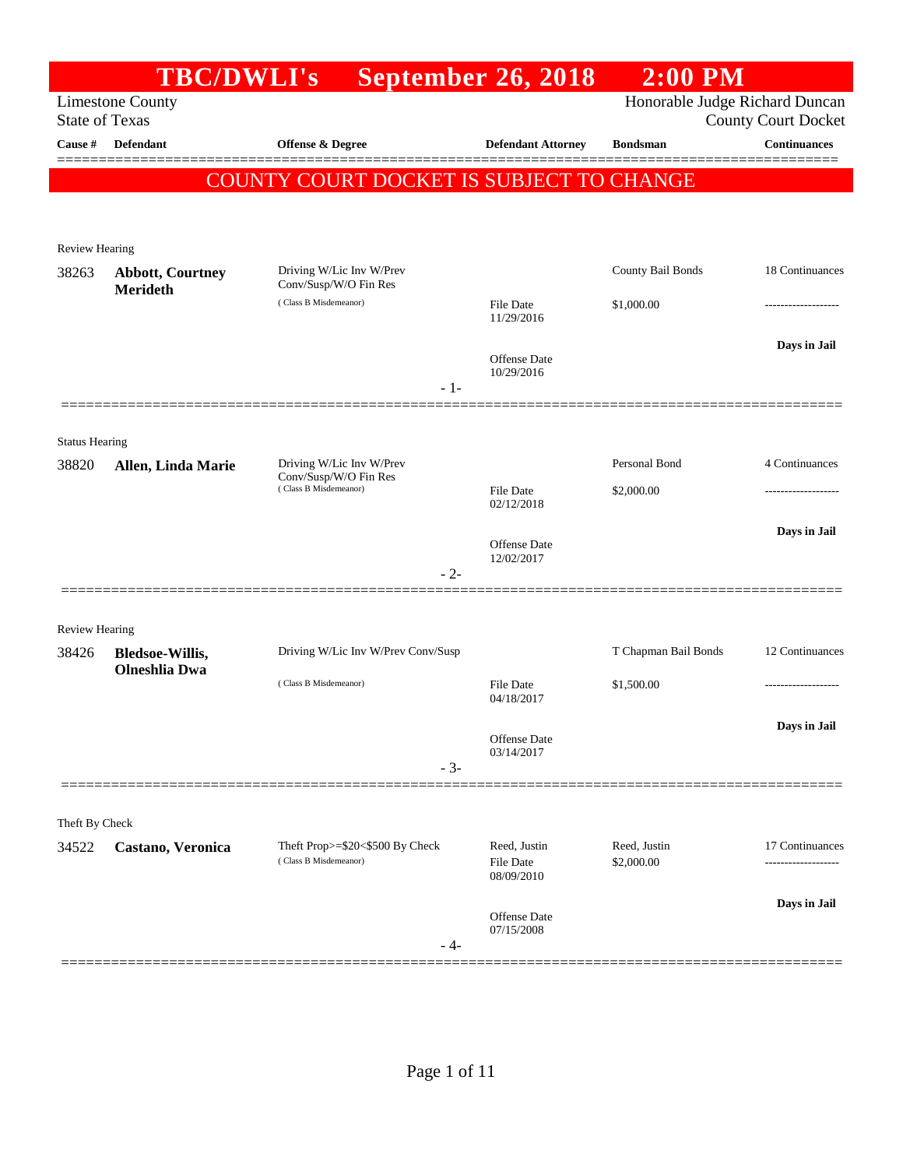|                                  | <b>TBC/DWLI's</b>       |                                                | <b>September 26, 2018</b>  | $2:00$ PM                      |                                            |
|----------------------------------|-------------------------|------------------------------------------------|----------------------------|--------------------------------|--------------------------------------------|
|                                  | <b>Limestone County</b> |                                                |                            | Honorable Judge Richard Duncan |                                            |
| <b>State of Texas</b><br>Cause # | Defendant               | Offense & Degree                               | <b>Defendant Attorney</b>  | <b>Bondsman</b>                | <b>County Court Docket</b><br>Continuances |
|                                  |                         |                                                |                            |                                |                                            |
|                                  |                         | COUNTY COURT DOCKET IS SUBJECT TO CHANGE       |                            |                                |                                            |
|                                  |                         |                                                |                            |                                |                                            |
| <b>Review Hearing</b>            |                         |                                                |                            |                                |                                            |
| 38263                            | <b>Abbott, Courtney</b> | Driving W/Lic Inv W/Prev                       |                            | County Bail Bonds              | 18 Continuances                            |
|                                  | <b>Merideth</b>         | Conv/Susp/W/O Fin Res<br>(Class B Misdemeanor) | File Date                  | \$1,000.00                     |                                            |
|                                  |                         |                                                | 11/29/2016                 |                                |                                            |
|                                  |                         |                                                | Offense Date               |                                | Days in Jail                               |
|                                  |                         | $-1-$                                          | 10/29/2016                 |                                |                                            |
|                                  |                         |                                                |                            |                                |                                            |
| <b>Status Hearing</b>            |                         |                                                |                            |                                |                                            |
| 38820                            | Allen, Linda Marie      | Driving W/Lic Inv W/Prev                       |                            | Personal Bond                  | 4 Continuances                             |
|                                  |                         | Conv/Susp/W/O Fin Res<br>(Class B Misdemeanor) | File Date                  | \$2,000.00                     |                                            |
|                                  |                         |                                                | 02/12/2018                 |                                |                                            |
|                                  |                         |                                                | <b>Offense</b> Date        |                                | Days in Jail                               |
|                                  |                         | $-2-$                                          | 12/02/2017                 |                                |                                            |
|                                  |                         |                                                |                            |                                |                                            |
| <b>Review Hearing</b>            |                         |                                                |                            |                                |                                            |
| 38426                            | <b>Bledsoe-Willis,</b>  | Driving W/Lic Inv W/Prev Conv/Susp             |                            | T Chapman Bail Bonds           | 12 Continuances                            |
|                                  | <b>Olneshlia</b> Dwa    | (Class B Misdemeanor)                          | File Date                  | \$1,500.00                     |                                            |
|                                  |                         |                                                | 04/18/2017                 |                                |                                            |
|                                  |                         |                                                | Offense Date               |                                | Days in Jail                               |
|                                  |                         | $-3-$                                          | 03/14/2017                 |                                |                                            |
|                                  |                         |                                                |                            |                                |                                            |
| Theft By Check                   |                         |                                                |                            |                                |                                            |
| 34522                            | Castano, Veronica       | Theft Prop>=\$20<\$500 By Check                | Reed, Justin               | Reed, Justin                   | 17 Continuances                            |
|                                  |                         | (Class B Misdemeanor)                          | File Date<br>08/09/2010    | \$2,000.00                     |                                            |
|                                  |                         |                                                |                            |                                | Days in Jail                               |
|                                  |                         |                                                | Offense Date<br>07/15/2008 |                                |                                            |
|                                  |                         | - 4-                                           |                            |                                |                                            |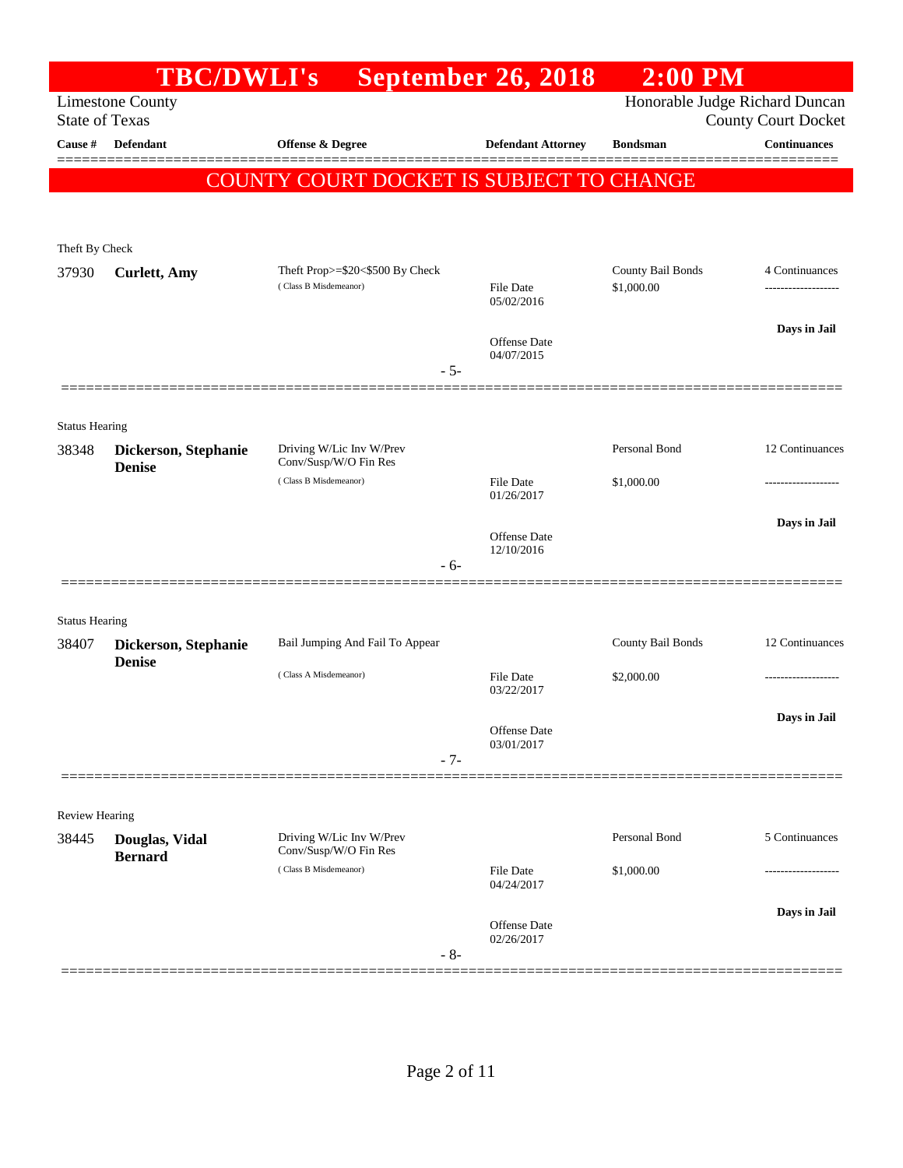|                                | <b>TBC/DWLI's</b>                     |                                                          | September 26, 2018             | $2:00$ PM                       |                            |
|--------------------------------|---------------------------------------|----------------------------------------------------------|--------------------------------|---------------------------------|----------------------------|
| <b>State of Texas</b>          | <b>Limestone County</b>               |                                                          |                                | Honorable Judge Richard Duncan  | <b>County Court Docket</b> |
| Cause #                        | <b>Defendant</b>                      | <b>Offense &amp; Degree</b>                              | <b>Defendant Attorney</b>      | <b>Bondsman</b>                 | <b>Continuances</b>        |
|                                |                                       | COUNTY COURT DOCKET IS SUBJECT TO CHANGE                 |                                |                                 |                            |
|                                |                                       |                                                          |                                |                                 |                            |
|                                |                                       |                                                          |                                |                                 |                            |
| Theft By Check                 |                                       |                                                          |                                |                                 |                            |
| 37930                          | <b>Curlett</b> , Amy                  | Theft Prop>=\$20<\$500 By Check<br>(Class B Misdemeanor) | <b>File Date</b><br>05/02/2016 | County Bail Bonds<br>\$1,000.00 | 4 Continuances             |
|                                |                                       |                                                          |                                |                                 | Days in Jail               |
|                                |                                       |                                                          | Offense Date<br>04/07/2015     |                                 |                            |
|                                |                                       | $-5-$                                                    |                                |                                 |                            |
|                                |                                       |                                                          |                                |                                 |                            |
| <b>Status Hearing</b>          |                                       |                                                          |                                |                                 |                            |
| 38348                          | Dickerson, Stephanie<br><b>Denise</b> | Driving W/Lic Inv W/Prev<br>Conv/Susp/W/O Fin Res        |                                | Personal Bond                   | 12 Continuances            |
|                                |                                       | (Class B Misdemeanor)                                    | <b>File Date</b><br>01/26/2017 | \$1,000.00                      |                            |
|                                |                                       |                                                          |                                |                                 | Days in Jail               |
|                                |                                       |                                                          | Offense Date<br>12/10/2016     |                                 |                            |
|                                |                                       | $-6-$                                                    |                                |                                 |                            |
|                                |                                       |                                                          |                                |                                 |                            |
| <b>Status Hearing</b>          |                                       | Bail Jumping And Fail To Appear                          |                                | County Bail Bonds               | 12 Continuances            |
| 38407                          | Dickerson, Stephanie<br><b>Denise</b> |                                                          |                                |                                 |                            |
|                                |                                       | (Class A Misdemeanor)                                    | <b>File Date</b><br>03/22/2017 | \$2,000.00                      |                            |
|                                |                                       |                                                          |                                |                                 | Days in Jail               |
|                                |                                       |                                                          | Offense Date<br>03/01/2017     |                                 |                            |
|                                |                                       | $-7-$                                                    |                                |                                 |                            |
|                                |                                       |                                                          |                                |                                 |                            |
| <b>Review Hearing</b><br>38445 | Douglas, Vidal                        | Driving W/Lic Inv W/Prev                                 |                                | Personal Bond                   | 5 Continuances             |
|                                | <b>Bernard</b>                        | Conv/Susp/W/O Fin Res<br>(Class B Misdemeanor)           |                                |                                 |                            |
|                                |                                       |                                                          | <b>File Date</b><br>04/24/2017 | \$1,000.00                      |                            |
|                                |                                       |                                                          | Offense Date                   |                                 | Days in Jail               |
|                                |                                       | $-8-$                                                    | 02/26/2017                     |                                 |                            |
|                                |                                       |                                                          |                                |                                 |                            |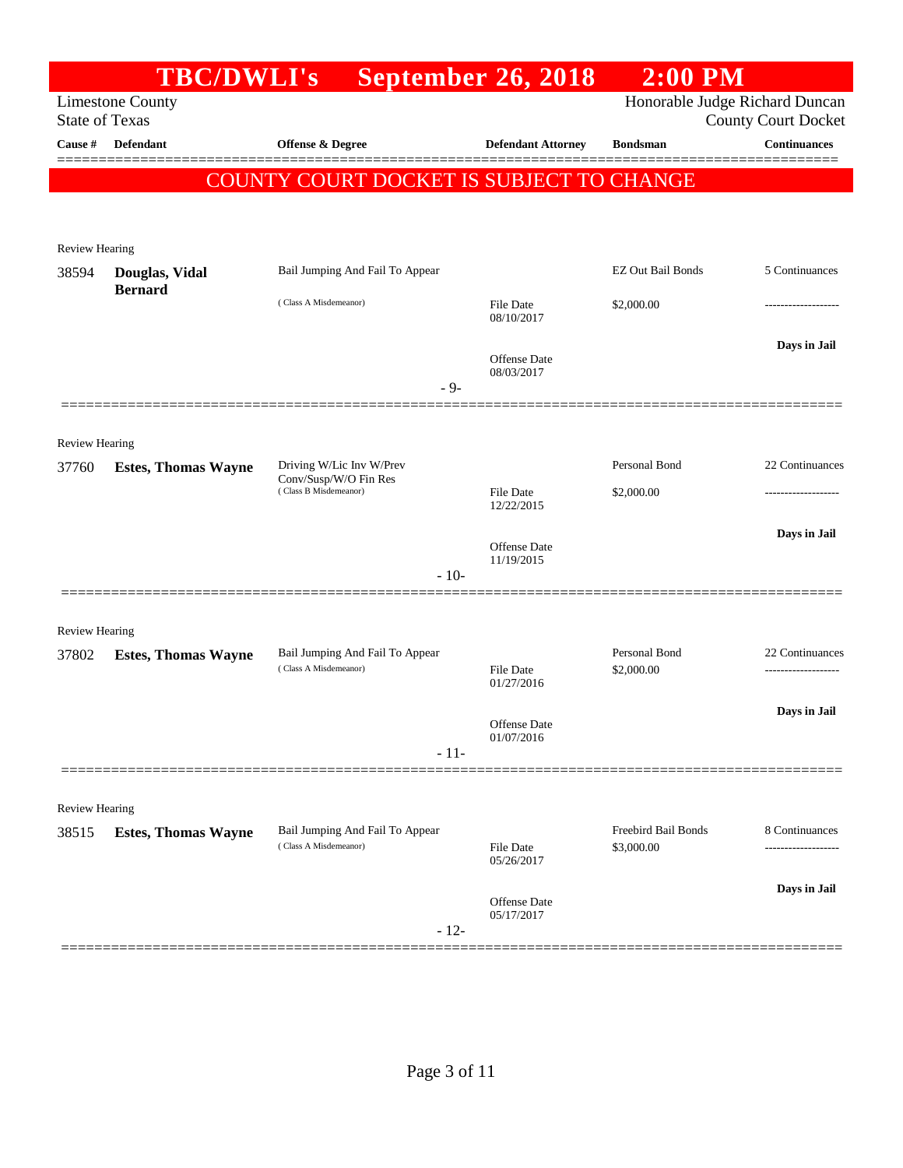|                       | <b>TBC/DWLI's</b>                |                                                                            | <b>September 26, 2018</b>      | $2:00$ PM                         |                                      |
|-----------------------|----------------------------------|----------------------------------------------------------------------------|--------------------------------|-----------------------------------|--------------------------------------|
| <b>State of Texas</b> | <b>Limestone County</b>          |                                                                            |                                | Honorable Judge Richard Duncan    | <b>County Court Docket</b>           |
| Cause #               | <b>Defendant</b>                 | <b>Offense &amp; Degree</b>                                                | <b>Defendant Attorney</b>      | <b>Bondsman</b>                   | <b>Continuances</b>                  |
|                       |                                  |                                                                            |                                |                                   |                                      |
|                       |                                  | COUNTY COURT DOCKET IS SUBJECT TO CHANGE                                   |                                |                                   |                                      |
|                       |                                  |                                                                            |                                |                                   |                                      |
| <b>Review Hearing</b> |                                  |                                                                            |                                |                                   |                                      |
| 38594                 | Douglas, Vidal<br><b>Bernard</b> | Bail Jumping And Fail To Appear                                            |                                | <b>EZ Out Bail Bonds</b>          | 5 Continuances                       |
|                       |                                  | (Class A Misdemeanor)                                                      | File Date<br>08/10/2017        | \$2,000.00                        |                                      |
|                       |                                  |                                                                            |                                |                                   | Days in Jail                         |
|                       |                                  |                                                                            | Offense Date<br>08/03/2017     |                                   |                                      |
|                       |                                  | $-9-$                                                                      |                                |                                   |                                      |
|                       |                                  |                                                                            |                                |                                   |                                      |
| <b>Review Hearing</b> |                                  |                                                                            |                                |                                   |                                      |
| 37760                 | <b>Estes, Thomas Wayne</b>       | Driving W/Lic Inv W/Prev<br>Conv/Susp/W/O Fin Res<br>(Class B Misdemeanor) |                                | Personal Bond                     | 22 Continuances                      |
|                       |                                  |                                                                            | <b>File Date</b><br>12/22/2015 | \$2,000.00                        |                                      |
|                       |                                  |                                                                            | Offense Date                   |                                   | Days in Jail                         |
|                       |                                  |                                                                            | 11/19/2015                     |                                   |                                      |
|                       |                                  | $-10-$                                                                     |                                |                                   |                                      |
| <b>Review Hearing</b> |                                  |                                                                            |                                |                                   |                                      |
| 37802                 | <b>Estes, Thomas Wayne</b>       | Bail Jumping And Fail To Appear                                            |                                | Personal Bond                     | 22 Continuances                      |
|                       |                                  | (Class A Misdemeanor)                                                      | <b>File Date</b><br>01/27/2016 | \$2,000.00                        |                                      |
|                       |                                  |                                                                            |                                |                                   | Days in Jail                         |
|                       |                                  |                                                                            | Offense Date<br>01/07/2016     |                                   |                                      |
|                       |                                  | $-11-$                                                                     |                                |                                   |                                      |
|                       |                                  |                                                                            |                                |                                   |                                      |
| <b>Review Hearing</b> |                                  |                                                                            |                                |                                   |                                      |
| 38515                 | <b>Estes, Thomas Wayne</b>       | Bail Jumping And Fail To Appear<br>(Class A Misdemeanor)                   | <b>File Date</b>               | Freebird Bail Bonds<br>\$3,000.00 | 8 Continuances<br>------------------ |
|                       |                                  |                                                                            | 05/26/2017                     |                                   |                                      |
|                       |                                  |                                                                            | Offense Date                   |                                   | Days in Jail                         |
|                       |                                  | $-12-$                                                                     | 05/17/2017                     |                                   |                                      |
|                       |                                  |                                                                            |                                |                                   |                                      |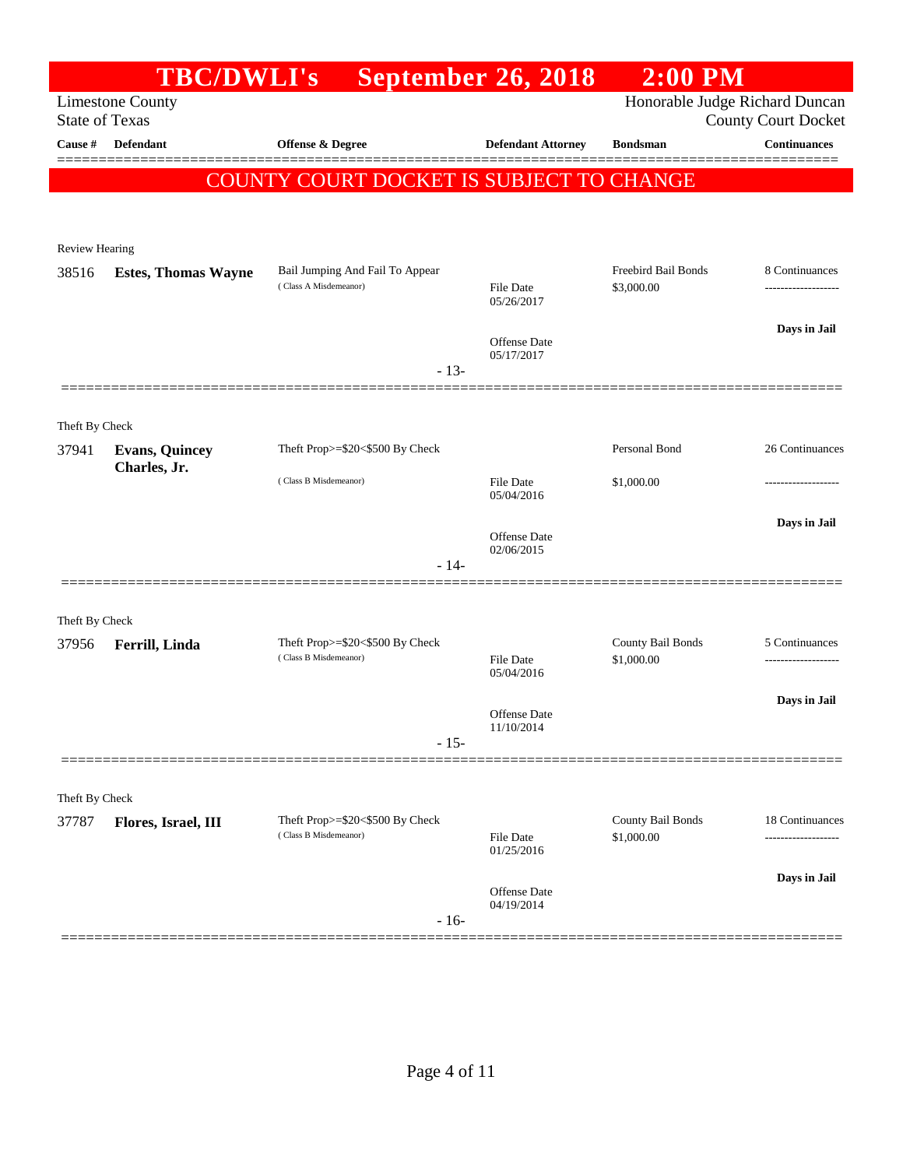|                         | <b>TBC/DWLI's</b>          |                                                          | <b>September 26, 2018</b>      | $2:00$ PM                       |                            |
|-------------------------|----------------------------|----------------------------------------------------------|--------------------------------|---------------------------------|----------------------------|
| <b>State of Texas</b>   | <b>Limestone County</b>    |                                                          |                                | Honorable Judge Richard Duncan  | <b>County Court Docket</b> |
| Cause #                 | Defendant                  | Offense & Degree                                         | <b>Defendant Attorney</b>      | <b>Bondsman</b>                 | <b>Continuances</b>        |
|                         |                            | <b>COUNTY COURT DOCKET IS SUBJECT TO CHANGE</b>          |                                |                                 |                            |
|                         |                            |                                                          |                                |                                 |                            |
|                         |                            |                                                          |                                |                                 |                            |
| <b>Review Hearing</b>   |                            |                                                          |                                | Freebird Bail Bonds             | 8 Continuances             |
| 38516                   | <b>Estes, Thomas Wayne</b> | Bail Jumping And Fail To Appear<br>(Class A Misdemeanor) | File Date<br>05/26/2017        | \$3,000.00                      |                            |
|                         |                            |                                                          | Offense Date<br>05/17/2017     |                                 | Days in Jail               |
|                         |                            | $-13-$                                                   |                                |                                 |                            |
|                         |                            |                                                          |                                |                                 |                            |
| Theft By Check<br>37941 | <b>Evans, Quincey</b>      | Theft Prop>=\$20<\$500 By Check                          |                                | Personal Bond                   | 26 Continuances            |
|                         | Charles, Jr.               | (Class B Misdemeanor)                                    | File Date<br>05/04/2016        | \$1,000.00                      | ---------------            |
|                         |                            |                                                          | Offense Date                   |                                 | Days in Jail               |
|                         |                            | $-14-$                                                   | 02/06/2015                     |                                 |                            |
|                         |                            |                                                          |                                |                                 |                            |
| Theft By Check          |                            |                                                          |                                |                                 |                            |
| 37956                   | Ferrill, Linda             | Theft Prop>=\$20<\$500 By Check<br>(Class B Misdemeanor) | File Date                      | County Bail Bonds<br>\$1,000.00 | 5 Continuances             |
|                         |                            |                                                          | 05/04/2016                     |                                 |                            |
|                         |                            |                                                          | Offense Date<br>11/10/2014     |                                 | Days in Jail               |
|                         |                            | $-15-$                                                   |                                |                                 |                            |
|                         |                            |                                                          |                                |                                 |                            |
| Theft By Check          |                            |                                                          |                                |                                 |                            |
| 37787                   | Flores, Israel, III        | Theft Prop>=\$20<\$500 By Check<br>(Class B Misdemeanor) | <b>File Date</b><br>01/25/2016 | County Bail Bonds<br>\$1,000.00 | 18 Continuances            |
|                         |                            |                                                          | Offense Date                   |                                 | Days in Jail               |
|                         |                            | $-16-$                                                   | 04/19/2014                     |                                 |                            |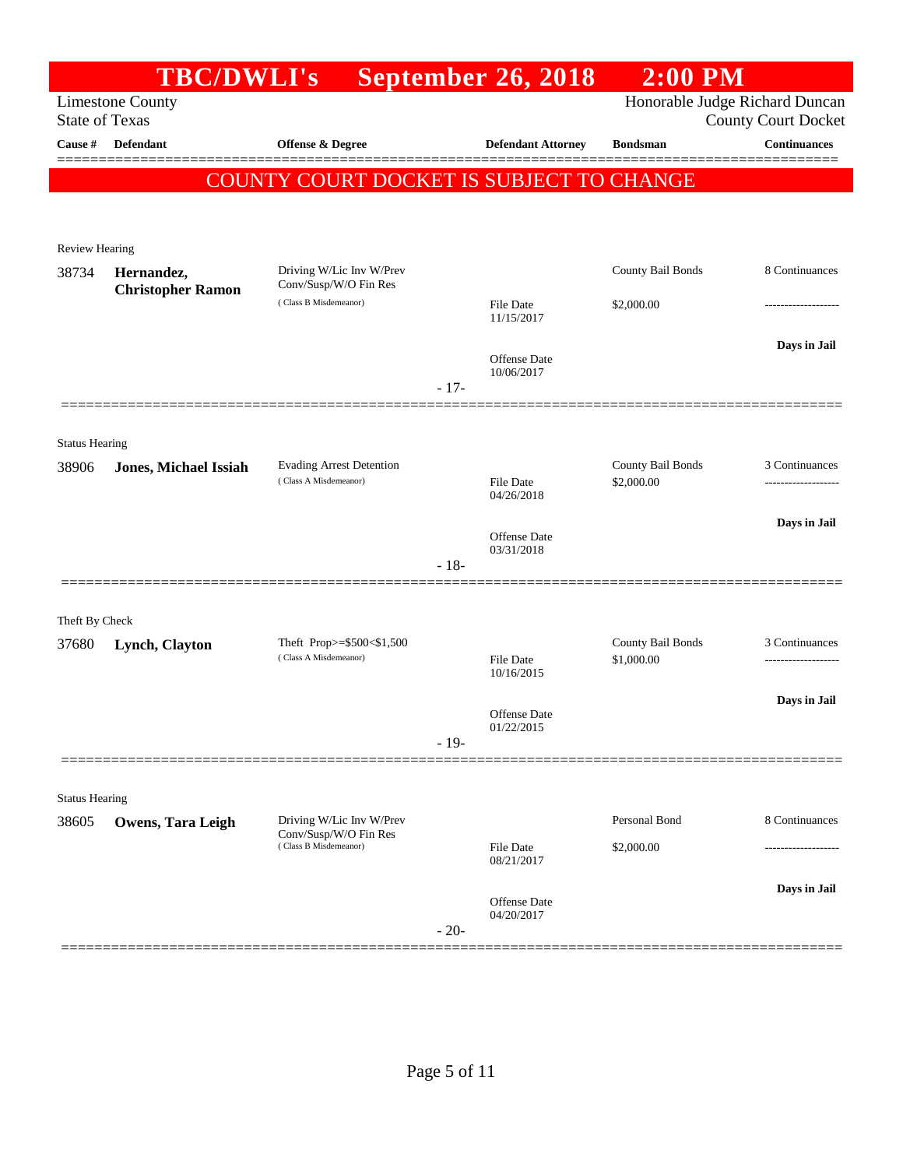|                         | <b>TBC/DWLI's</b>            |                                                          | September 26, 2018                       | $2:00$ PM                       |                                |
|-------------------------|------------------------------|----------------------------------------------------------|------------------------------------------|---------------------------------|--------------------------------|
|                         | <b>Limestone County</b>      |                                                          |                                          |                                 | Honorable Judge Richard Duncan |
| <b>State of Texas</b>   |                              |                                                          |                                          |                                 | <b>County Court Docket</b>     |
| Cause #                 | <b>Defendant</b>             | <b>Offense &amp; Degree</b>                              | <b>Defendant Attorney</b>                | <b>Bondsman</b>                 | <b>Continuances</b>            |
|                         |                              |                                                          | COUNTY COURT DOCKET IS SUBJECT TO CHANGE |                                 |                                |
|                         |                              |                                                          |                                          |                                 |                                |
|                         |                              |                                                          |                                          |                                 |                                |
| Review Hearing<br>38734 | Hernandez,                   | Driving W/Lic Inv W/Prev                                 |                                          | County Bail Bonds               | 8 Continuances                 |
|                         | <b>Christopher Ramon</b>     | Conv/Susp/W/O Fin Res                                    |                                          |                                 |                                |
|                         |                              | (Class B Misdemeanor)                                    | <b>File Date</b><br>11/15/2017           | \$2,000.00                      |                                |
|                         |                              |                                                          |                                          |                                 | Days in Jail                   |
|                         |                              |                                                          | Offense Date<br>10/06/2017               |                                 |                                |
|                         |                              |                                                          | $-17-$                                   |                                 |                                |
|                         |                              |                                                          |                                          |                                 |                                |
| <b>Status Hearing</b>   |                              |                                                          |                                          |                                 |                                |
| 38906                   | <b>Jones, Michael Issiah</b> | <b>Evading Arrest Detention</b><br>(Class A Misdemeanor) | File Date                                | County Bail Bonds<br>\$2,000.00 | 3 Continuances                 |
|                         |                              |                                                          | 04/26/2018                               |                                 |                                |
|                         |                              |                                                          |                                          |                                 | Days in Jail                   |
|                         |                              |                                                          | Offense Date<br>03/31/2018               |                                 |                                |
|                         |                              |                                                          | $-18-$                                   |                                 |                                |
|                         |                              |                                                          |                                          |                                 |                                |
| Theft By Check          |                              |                                                          |                                          |                                 |                                |
| 37680                   | Lynch, Clayton               | Theft Prop>=\$500<\$1,500<br>(Class A Misdemeanor)       | <b>File Date</b>                         | County Bail Bonds<br>\$1,000.00 | 3 Continuances                 |
|                         |                              |                                                          | 10/16/2015                               |                                 |                                |
|                         |                              |                                                          | <b>Offense Date</b>                      |                                 | Days in Jail                   |
|                         |                              |                                                          | 01/22/2015<br>$-19-$                     |                                 |                                |
|                         |                              |                                                          |                                          |                                 |                                |
| <b>Status Hearing</b>   |                              |                                                          |                                          |                                 |                                |
| 38605                   | Owens, Tara Leigh            | Driving W/Lic Inv W/Prev                                 |                                          | Personal Bond                   | 8 Continuances                 |
|                         |                              | Conv/Susp/W/O Fin Res<br>(Class B Misdemeanor)           | File Date                                | \$2,000.00                      |                                |
|                         |                              |                                                          | 08/21/2017                               |                                 |                                |
|                         |                              |                                                          | Offense Date                             |                                 | Days in Jail                   |
|                         |                              |                                                          | 04/20/2017<br>$-20-$                     |                                 |                                |
|                         |                              |                                                          |                                          |                                 |                                |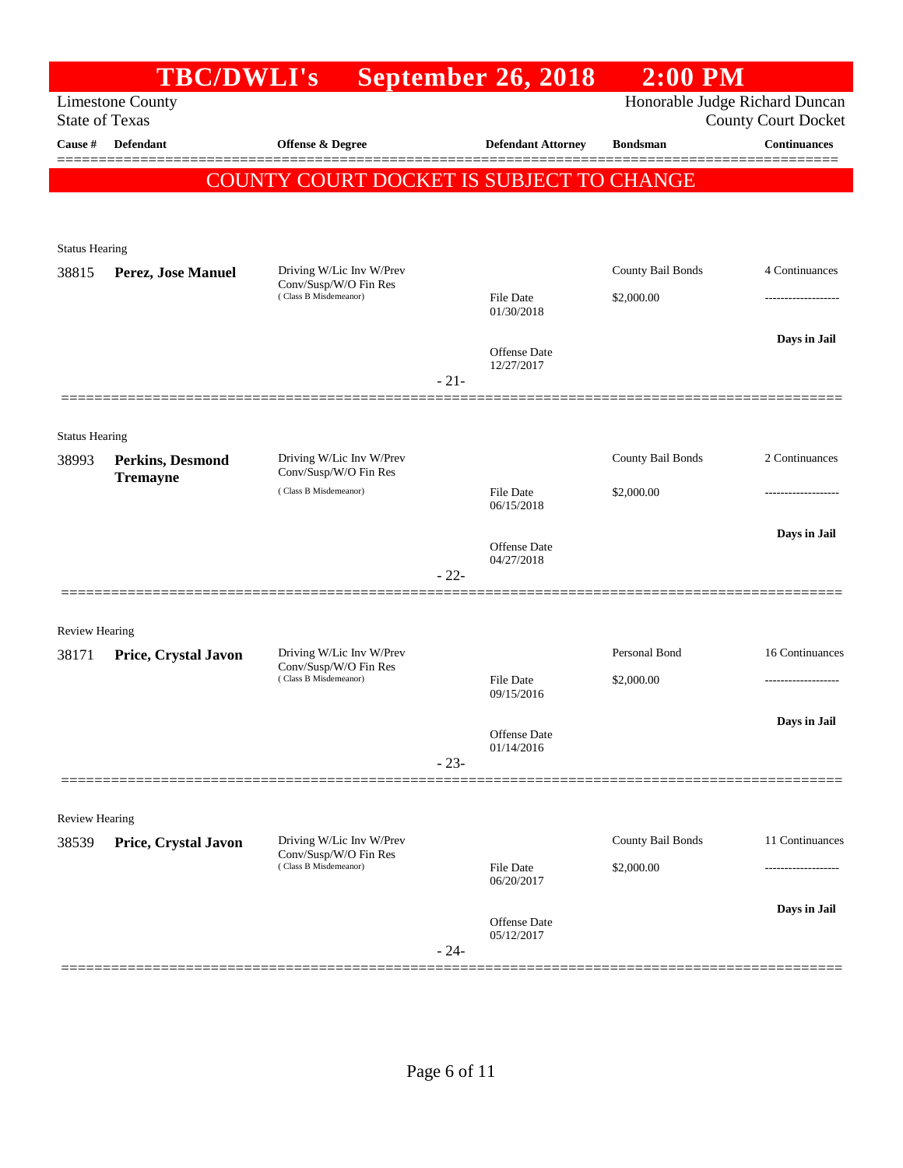|                                  | <b>TBC/DWLI's</b>                   |                                                   |        | <b>September 26, 2018</b>      | $2:00$ PM         |                                                   |
|----------------------------------|-------------------------------------|---------------------------------------------------|--------|--------------------------------|-------------------|---------------------------------------------------|
|                                  | <b>Limestone County</b>             |                                                   |        |                                |                   | Honorable Judge Richard Duncan                    |
| <b>State of Texas</b><br>Cause # | Defendant                           |                                                   |        |                                | <b>Bondsman</b>   | <b>County Court Docket</b><br><b>Continuances</b> |
|                                  |                                     | <b>Offense &amp; Degree</b>                       |        | <b>Defendant Attorney</b>      |                   |                                                   |
|                                  |                                     | <b>COUNTY COURT DOCKET IS SUBJECT TO CHANGE</b>   |        |                                |                   |                                                   |
|                                  |                                     |                                                   |        |                                |                   |                                                   |
| <b>Status Hearing</b>            |                                     |                                                   |        |                                |                   |                                                   |
| 38815                            | Perez, Jose Manuel                  | Driving W/Lic Inv W/Prev                          |        |                                | County Bail Bonds | 4 Continuances                                    |
|                                  |                                     | Conv/Susp/W/O Fin Res<br>(Class B Misdemeanor)    |        | File Date                      | \$2,000.00        |                                                   |
|                                  |                                     |                                                   |        | 01/30/2018                     |                   |                                                   |
|                                  |                                     |                                                   |        | Offense Date                   |                   | Days in Jail                                      |
|                                  |                                     |                                                   | $-21-$ | 12/27/2017                     |                   |                                                   |
|                                  |                                     |                                                   |        |                                |                   |                                                   |
|                                  |                                     |                                                   |        |                                |                   |                                                   |
| <b>Status Hearing</b><br>38993   |                                     | Driving W/Lic Inv W/Prev                          |        |                                | County Bail Bonds | 2 Continuances                                    |
|                                  | Perkins, Desmond<br><b>Tremayne</b> | Conv/Susp/W/O Fin Res                             |        |                                |                   |                                                   |
|                                  |                                     | (Class B Misdemeanor)                             |        | <b>File Date</b><br>06/15/2018 | \$2,000.00        |                                                   |
|                                  |                                     |                                                   |        |                                |                   | Days in Jail                                      |
|                                  |                                     |                                                   |        | Offense Date<br>04/27/2018     |                   |                                                   |
|                                  |                                     |                                                   | $-22-$ |                                |                   |                                                   |
|                                  |                                     |                                                   |        |                                |                   |                                                   |
| <b>Review Hearing</b>            |                                     |                                                   |        |                                |                   |                                                   |
| 38171                            | Price, Crystal Javon                | Driving W/Lic Inv W/Prev<br>Conv/Susp/W/O Fin Res |        |                                | Personal Bond     | 16 Continuances                                   |
|                                  |                                     | (Class B Misdemeanor)                             |        | File Date<br>09/15/2016        | \$2,000.00        |                                                   |
|                                  |                                     |                                                   |        |                                |                   | Days in Jail                                      |
|                                  |                                     |                                                   |        | Offense Date<br>01/14/2016     |                   |                                                   |
|                                  |                                     |                                                   | $-23-$ |                                |                   |                                                   |
|                                  |                                     |                                                   |        |                                |                   |                                                   |
| <b>Review Hearing</b>            |                                     |                                                   |        |                                |                   |                                                   |
| 38539                            | Price, Crystal Javon                | Driving W/Lic Inv W/Prev<br>Conv/Susp/W/O Fin Res |        |                                | County Bail Bonds | 11 Continuances                                   |
|                                  |                                     | (Class B Misdemeanor)                             |        | File Date<br>06/20/2017        | \$2,000.00        |                                                   |
|                                  |                                     |                                                   |        |                                |                   | Days in Jail                                      |
|                                  |                                     |                                                   |        | Offense Date<br>05/12/2017     |                   |                                                   |
|                                  |                                     |                                                   | $-24-$ |                                |                   |                                                   |
|                                  |                                     |                                                   |        |                                |                   |                                                   |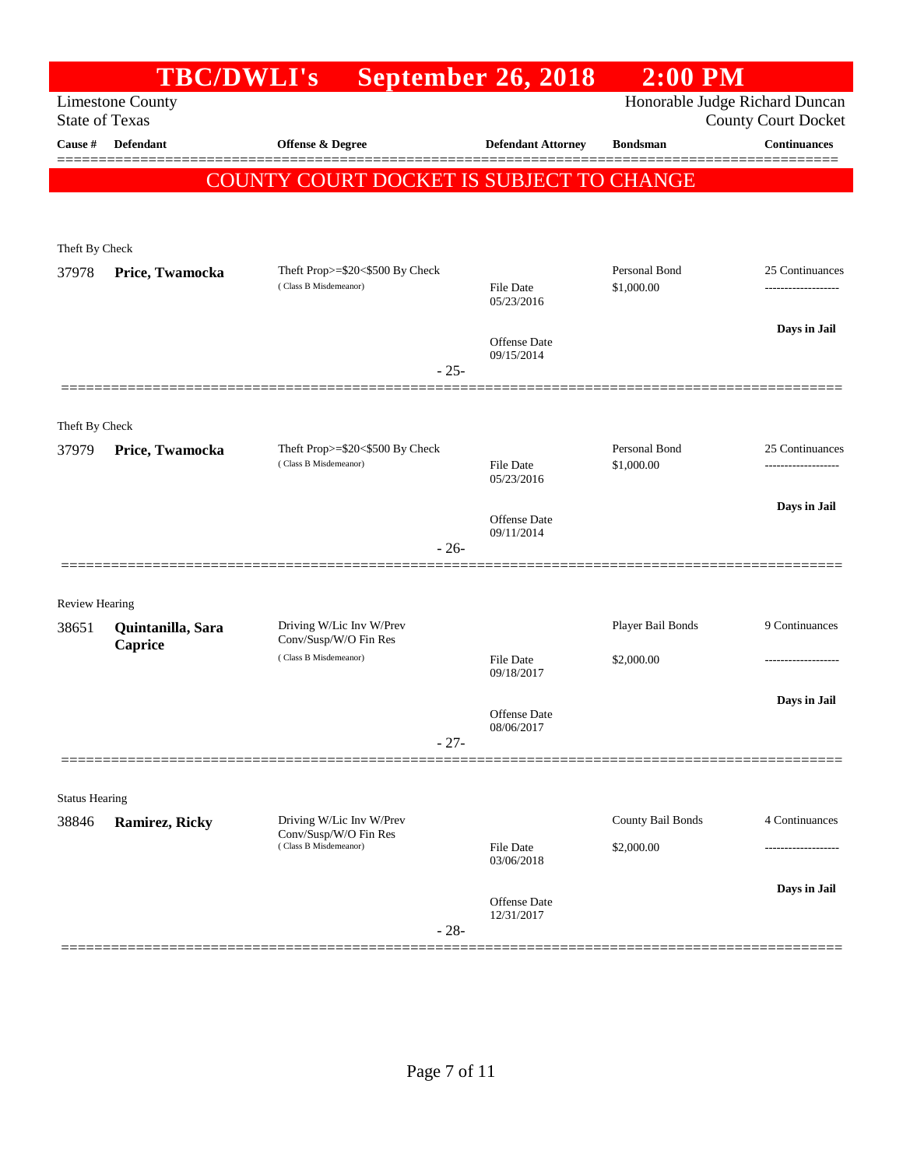|                                | <b>TBC/DWLI's</b>       |                                                                            | <b>September 26, 2018</b>         | $2:00$ PM                       |                                                              |
|--------------------------------|-------------------------|----------------------------------------------------------------------------|-----------------------------------|---------------------------------|--------------------------------------------------------------|
| <b>State of Texas</b>          | <b>Limestone County</b> |                                                                            |                                   |                                 | Honorable Judge Richard Duncan<br><b>County Court Docket</b> |
| Cause #                        | <b>Defendant</b>        | <b>Offense &amp; Degree</b>                                                | <b>Defendant Attorney</b>         | <b>Bondsman</b>                 | <b>Continuances</b>                                          |
|                                |                         | COUNTY COURT DOCKET IS SUBJECT TO CHANGE                                   |                                   |                                 |                                                              |
| Theft By Check                 |                         |                                                                            |                                   |                                 |                                                              |
| 37978                          | Price, Twamocka         | Theft Prop>=\$20<\$500 By Check<br>(Class B Misdemeanor)                   | File Date<br>05/23/2016           | Personal Bond<br>\$1,000.00     | 25 Continuances<br>-------------------                       |
|                                |                         | $-25-$                                                                     | Offense Date<br>09/15/2014        |                                 | Days in Jail                                                 |
| Theft By Check                 |                         |                                                                            |                                   |                                 |                                                              |
| 37979                          | Price, Twamocka         | Theft Prop>=\$20<\$500 By Check<br>(Class B Misdemeanor)                   | <b>File Date</b><br>05/23/2016    | Personal Bond<br>\$1,000.00     | 25 Continuances<br>-------------------                       |
|                                |                         | $-26-$                                                                     | <b>Offense</b> Date<br>09/11/2014 |                                 | Days in Jail                                                 |
|                                |                         |                                                                            |                                   |                                 |                                                              |
| <b>Review Hearing</b><br>38651 | Quintanilla, Sara       | Driving W/Lic Inv W/Prev                                                   |                                   | Player Bail Bonds               | 9 Continuances                                               |
|                                | Caprice                 | Conv/Susp/W/O Fin Res<br>(Class B Misdemeanor)                             | File Date<br>09/18/2017           | \$2,000.00                      |                                                              |
|                                |                         | $-27-$                                                                     | <b>Offense Date</b><br>08/06/2017 |                                 | Days in Jail                                                 |
| <b>Status Hearing</b>          |                         |                                                                            |                                   |                                 |                                                              |
| 38846                          | <b>Ramirez, Ricky</b>   | Driving W/Lic Inv W/Prev<br>Conv/Susp/W/O Fin Res<br>(Class B Misdemeanor) | File Date                         | County Bail Bonds<br>\$2,000.00 | 4 Continuances                                               |
|                                |                         |                                                                            | 03/06/2018                        |                                 |                                                              |
|                                |                         | $-28-$                                                                     | Offense Date<br>12/31/2017        |                                 | Days in Jail                                                 |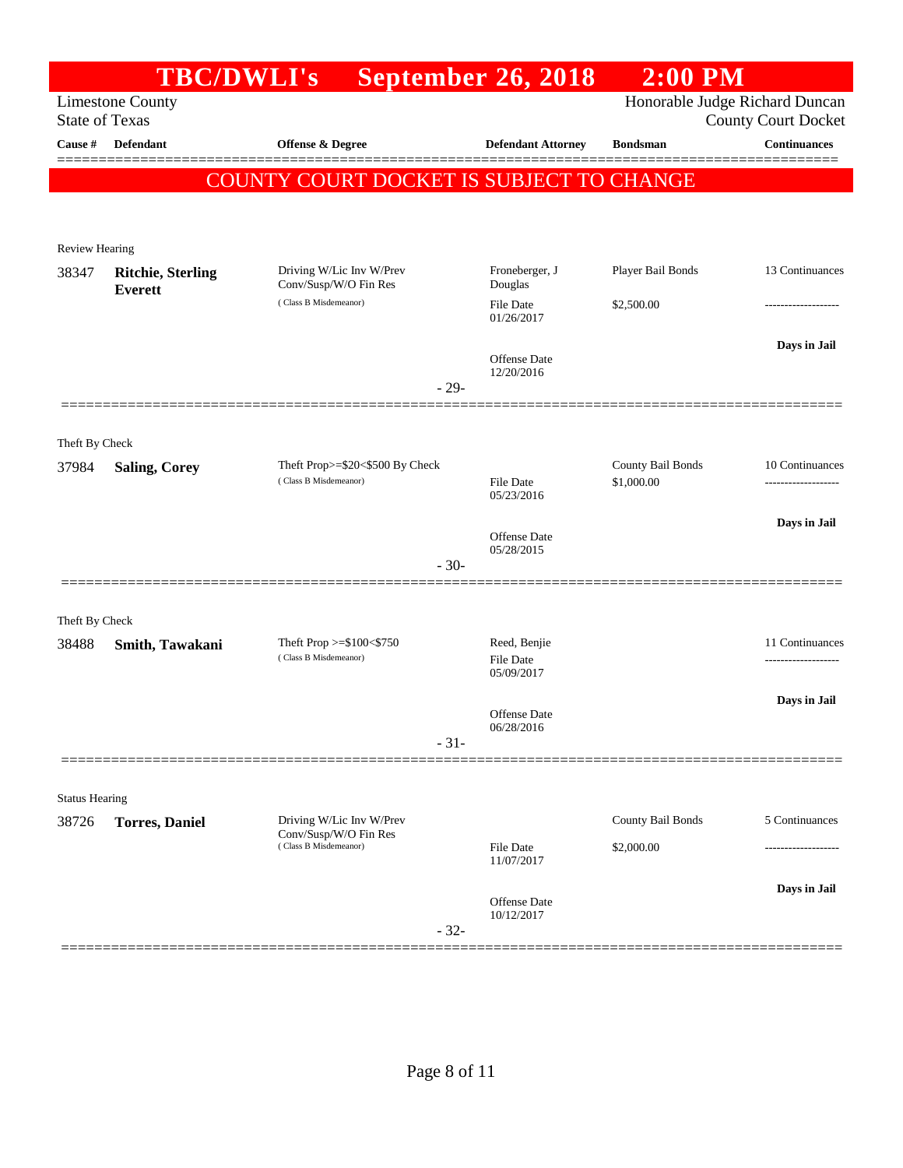|                         | <b>TBC/DWLI's</b>                          |                                                   | <b>September 26, 2018</b>      | $2:00$ PM         |                                                              |
|-------------------------|--------------------------------------------|---------------------------------------------------|--------------------------------|-------------------|--------------------------------------------------------------|
| <b>State of Texas</b>   | <b>Limestone County</b>                    |                                                   |                                |                   | Honorable Judge Richard Duncan<br><b>County Court Docket</b> |
| Cause #                 | <b>Defendant</b>                           | Offense & Degree                                  | <b>Defendant Attorney</b>      | <b>Bondsman</b>   | <b>Continuances</b>                                          |
|                         |                                            | COUNTY COURT DOCKET IS SUBJECT TO CHANGE          |                                |                   |                                                              |
|                         |                                            |                                                   |                                |                   |                                                              |
| Review Hearing          |                                            |                                                   |                                |                   |                                                              |
| 38347                   | <b>Ritchie, Sterling</b><br><b>Everett</b> | Driving W/Lic Inv W/Prev<br>Conv/Susp/W/O Fin Res | Froneberger, J<br>Douglas      | Player Bail Bonds | 13 Continuances                                              |
|                         |                                            | (Class B Misdemeanor)                             | File Date<br>01/26/2017        | \$2,500.00        |                                                              |
|                         |                                            |                                                   |                                |                   | Days in Jail                                                 |
|                         |                                            |                                                   | Offense Date<br>12/20/2016     |                   |                                                              |
|                         |                                            |                                                   | $-29-$                         |                   |                                                              |
|                         |                                            |                                                   |                                |                   |                                                              |
| Theft By Check<br>37984 | <b>Saling, Corey</b>                       | Theft Prop>=\$20<\$500 By Check                   |                                | County Bail Bonds | 10 Continuances                                              |
|                         |                                            | (Class B Misdemeanor)                             | <b>File Date</b><br>05/23/2016 | \$1,000.00        |                                                              |
|                         |                                            |                                                   |                                |                   | Days in Jail                                                 |
|                         |                                            |                                                   | Offense Date<br>05/28/2015     |                   |                                                              |
|                         |                                            |                                                   | $-30-$                         |                   |                                                              |
|                         |                                            |                                                   |                                |                   |                                                              |
| Theft By Check<br>38488 | Smith, Tawakani                            | Theft Prop $>=\$100<\$750$                        | Reed, Benjie                   |                   | 11 Continuances                                              |
|                         |                                            | (Class B Misdemeanor)                             | <b>File Date</b><br>05/09/2017 |                   |                                                              |
|                         |                                            |                                                   |                                |                   | Days in Jail                                                 |
|                         |                                            |                                                   | Offense Date<br>06/28/2016     |                   |                                                              |
|                         |                                            |                                                   | $-31-$                         |                   |                                                              |
|                         |                                            |                                                   |                                |                   |                                                              |
| <b>Status Hearing</b>   |                                            | Driving W/Lic Inv W/Prev                          |                                | County Bail Bonds | 5 Continuances                                               |
| 38726                   | <b>Torres</b> , Daniel                     | Conv/Susp/W/O Fin Res<br>(Class B Misdemeanor)    | File Date                      | \$2,000.00        |                                                              |
|                         |                                            |                                                   | 11/07/2017                     |                   |                                                              |
|                         |                                            |                                                   | <b>Offense</b> Date            |                   | Days in Jail                                                 |
|                         |                                            |                                                   | 10/12/2017<br>$-32-$           |                   |                                                              |
|                         |                                            |                                                   |                                |                   |                                                              |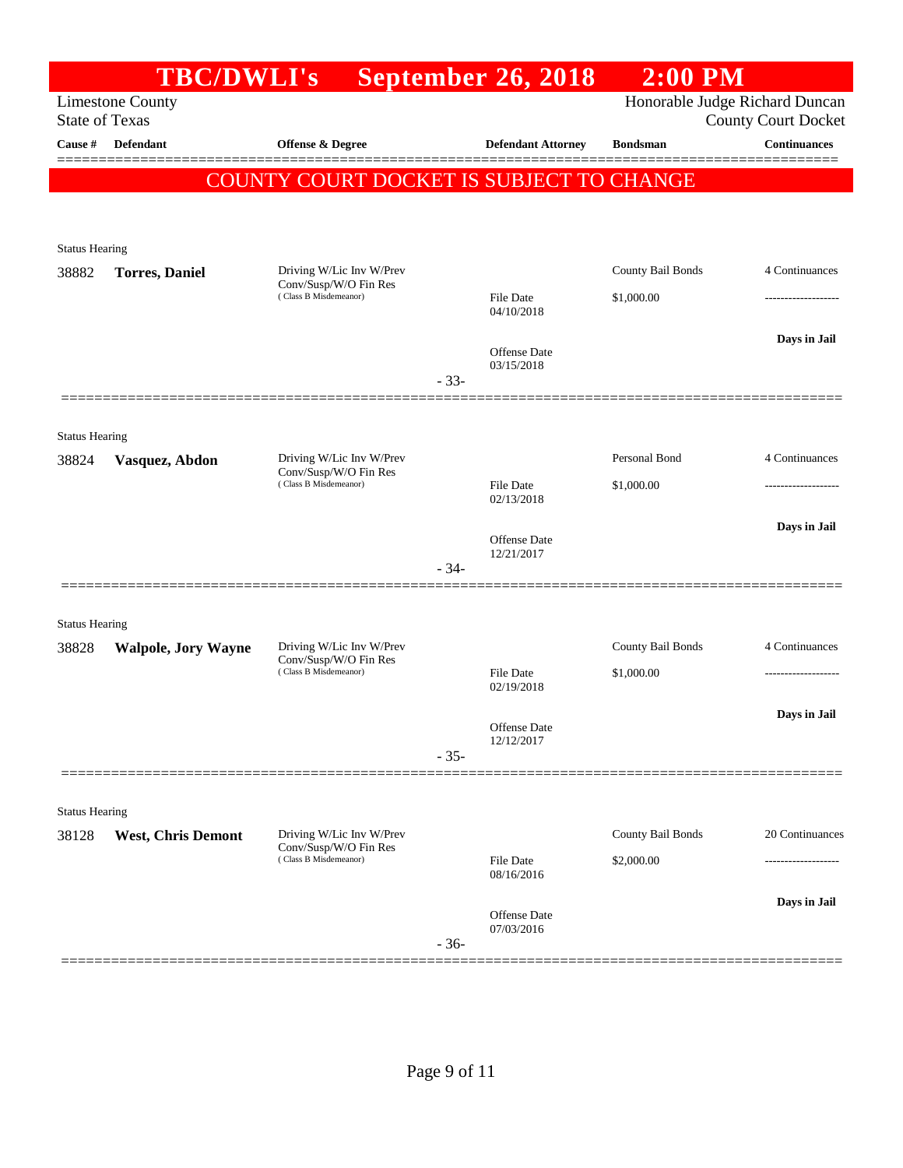|                                | <b>TBC/DWLI's</b>          |                                                                            |        | September 26, 2018                | $2:00$ PM         |                                                              |
|--------------------------------|----------------------------|----------------------------------------------------------------------------|--------|-----------------------------------|-------------------|--------------------------------------------------------------|
| <b>State of Texas</b>          | <b>Limestone County</b>    |                                                                            |        |                                   |                   | Honorable Judge Richard Duncan<br><b>County Court Docket</b> |
| Cause #                        | <b>Defendant</b>           | <b>Offense &amp; Degree</b>                                                |        | <b>Defendant Attorney</b>         | <b>Bondsman</b>   | <b>Continuances</b>                                          |
|                                |                            | <b>COUNTY COURT DOCKET IS SUBJECT TO CHANGE</b>                            |        |                                   |                   |                                                              |
|                                |                            |                                                                            |        |                                   |                   |                                                              |
|                                |                            |                                                                            |        |                                   |                   |                                                              |
| <b>Status Hearing</b>          |                            |                                                                            |        |                                   |                   |                                                              |
| 38882                          | <b>Torres</b> , Daniel     | Driving W/Lic Inv W/Prev<br>Conv/Susp/W/O Fin Res                          |        |                                   | County Bail Bonds | 4 Continuances                                               |
|                                |                            | (Class B Misdemeanor)                                                      |        | File Date<br>04/10/2018           | \$1,000.00        | . <b>.</b> .                                                 |
|                                |                            |                                                                            |        |                                   |                   | Days in Jail                                                 |
|                                |                            |                                                                            |        | <b>Offense</b> Date<br>03/15/2018 |                   |                                                              |
|                                |                            |                                                                            | $-33-$ |                                   |                   |                                                              |
|                                |                            |                                                                            |        |                                   |                   |                                                              |
| <b>Status Hearing</b>          |                            |                                                                            |        |                                   | Personal Bond     | 4 Continuances                                               |
| 38824                          | Vasquez, Abdon             | Driving W/Lic Inv W/Prev<br>Conv/Susp/W/O Fin Res<br>(Class B Misdemeanor) |        |                                   |                   |                                                              |
|                                |                            |                                                                            |        | <b>File Date</b><br>02/13/2018    | \$1,000.00        | --------------                                               |
|                                |                            |                                                                            |        |                                   |                   | Days in Jail                                                 |
|                                |                            |                                                                            |        | Offense Date<br>12/21/2017        |                   |                                                              |
|                                |                            |                                                                            | - 34-  |                                   |                   |                                                              |
|                                |                            |                                                                            |        |                                   |                   |                                                              |
| <b>Status Hearing</b><br>38828 | <b>Walpole, Jory Wayne</b> | Driving W/Lic Inv W/Prev                                                   |        |                                   | County Bail Bonds | 4 Continuances                                               |
|                                |                            | Conv/Susp/W/O Fin Res<br>(Class B Misdemeanor)                             |        | <b>File Date</b>                  | \$1,000.00        |                                                              |
|                                |                            |                                                                            |        | 02/19/2018                        |                   |                                                              |
|                                |                            |                                                                            |        | Offense Date                      |                   | Days in Jail                                                 |
|                                |                            |                                                                            | $-35-$ | 12/12/2017                        |                   |                                                              |
|                                |                            |                                                                            |        |                                   |                   |                                                              |
| <b>Status Hearing</b>          |                            |                                                                            |        |                                   |                   |                                                              |
| 38128                          | <b>West, Chris Demont</b>  | Driving W/Lic Inv W/Prev                                                   |        |                                   | County Bail Bonds | 20 Continuances                                              |
|                                |                            | Conv/Susp/W/O Fin Res<br>(Class B Misdemeanor)                             |        | <b>File Date</b>                  | \$2,000.00        |                                                              |
|                                |                            |                                                                            |        | 08/16/2016                        |                   |                                                              |
|                                |                            |                                                                            |        | Offense Date                      |                   | Days in Jail                                                 |
|                                |                            |                                                                            | $-36-$ | 07/03/2016                        |                   |                                                              |
|                                |                            |                                                                            |        |                                   |                   |                                                              |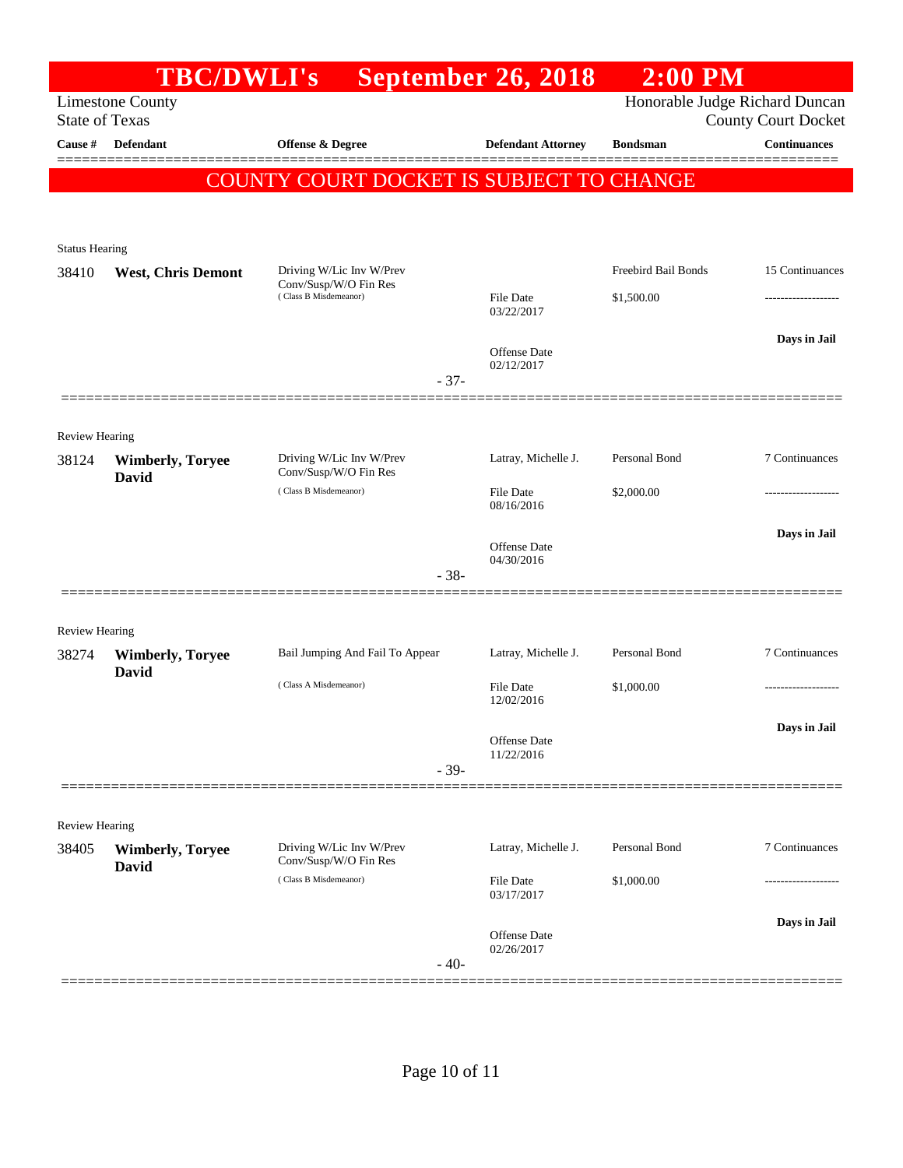|                         | <b>TBC/DWLI's</b>                       |                                                   | September 26, 2018                | $2:00$ PM           |                                                              |
|-------------------------|-----------------------------------------|---------------------------------------------------|-----------------------------------|---------------------|--------------------------------------------------------------|
| <b>State of Texas</b>   | <b>Limestone County</b>                 |                                                   |                                   |                     | Honorable Judge Richard Duncan<br><b>County Court Docket</b> |
| Cause #                 | <b>Defendant</b>                        | Offense & Degree                                  | <b>Defendant Attorney</b>         | <b>Bondsman</b>     | <b>Continuances</b>                                          |
|                         |                                         | COUNTY COURT DOCKET IS SUBJECT TO CHANGE          |                                   |                     |                                                              |
|                         |                                         |                                                   |                                   |                     |                                                              |
| <b>Status Hearing</b>   |                                         |                                                   |                                   |                     |                                                              |
| 38410                   | <b>West, Chris Demont</b>               | Driving W/Lic Inv W/Prev                          |                                   | Freebird Bail Bonds | 15 Continuances                                              |
|                         |                                         | Conv/Susp/W/O Fin Res<br>(Class B Misdemeanor)    | File Date<br>03/22/2017           | \$1,500.00          | .                                                            |
|                         |                                         | $-37-$                                            | <b>Offense</b> Date<br>02/12/2017 |                     | Days in Jail                                                 |
|                         |                                         |                                                   |                                   |                     |                                                              |
| Review Hearing          |                                         |                                                   |                                   |                     |                                                              |
| 38124                   | <b>Wimberly, Toryee</b><br><b>David</b> | Driving W/Lic Inv W/Prev<br>Conv/Susp/W/O Fin Res | Latray, Michelle J.               | Personal Bond       | 7 Continuances                                               |
|                         |                                         | (Class B Misdemeanor)                             | File Date<br>08/16/2016           | \$2,000.00          |                                                              |
|                         |                                         |                                                   | <b>Offense</b> Date<br>04/30/2016 |                     | Days in Jail                                                 |
|                         |                                         | $-38-$                                            |                                   |                     |                                                              |
| Review Hearing          |                                         |                                                   |                                   |                     |                                                              |
| 38274                   | <b>Wimberly, Toryee</b>                 | Bail Jumping And Fail To Appear                   | Latray, Michelle J.               | Personal Bond       | 7 Continuances                                               |
|                         | David                                   | (Class A Misdemeanor)                             | <b>File Date</b><br>12/02/2016    | \$1,000.00          |                                                              |
|                         |                                         |                                                   | Offense Date<br>11/22/2016        |                     | Days in Jail                                                 |
|                         |                                         | $-39-$                                            |                                   |                     |                                                              |
|                         |                                         |                                                   |                                   |                     |                                                              |
| Review Hearing<br>38405 | <b>Wimberly, Toryee</b><br>David        | Driving W/Lic Inv W/Prev<br>Conv/Susp/W/O Fin Res | Latray, Michelle J.               | Personal Bond       | 7 Continuances                                               |
|                         |                                         | (Class B Misdemeanor)                             | File Date<br>03/17/2017           | \$1,000.00          |                                                              |
|                         |                                         | $-40-$                                            | Offense Date<br>02/26/2017        |                     | Days in Jail                                                 |